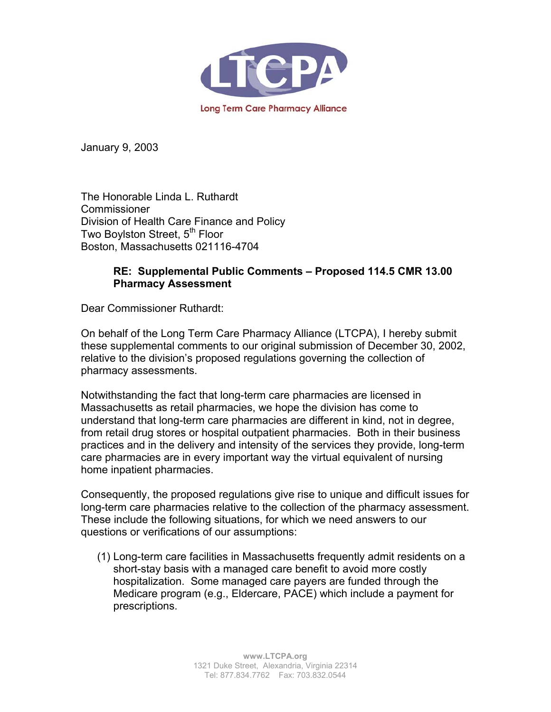

January 9, 2003

The Honorable Linda L. Ruthardt Commissioner Division of Health Care Finance and Policy Two Boylston Street, 5<sup>th</sup> Floor Boston, Massachusetts 021116-4704

## **RE: Supplemental Public Comments – Proposed 114.5 CMR 13.00 Pharmacy Assessment**

Dear Commissioner Ruthardt:

On behalf of the Long Term Care Pharmacy Alliance (LTCPA), I hereby submit these supplemental comments to our original submission of December 30, 2002, relative to the division's proposed regulations governing the collection of pharmacy assessments.

Notwithstanding the fact that long-term care pharmacies are licensed in Massachusetts as retail pharmacies, we hope the division has come to understand that long-term care pharmacies are different in kind, not in degree, from retail drug stores or hospital outpatient pharmacies. Both in their business practices and in the delivery and intensity of the services they provide, long-term care pharmacies are in every important way the virtual equivalent of nursing home inpatient pharmacies.

Consequently, the proposed regulations give rise to unique and difficult issues for long-term care pharmacies relative to the collection of the pharmacy assessment. These include the following situations, for which we need answers to our questions or verifications of our assumptions:

(1) Long-term care facilities in Massachusetts frequently admit residents on a short-stay basis with a managed care benefit to avoid more costly hospitalization. Some managed care payers are funded through the Medicare program (e.g., Eldercare, PACE) which include a payment for prescriptions.